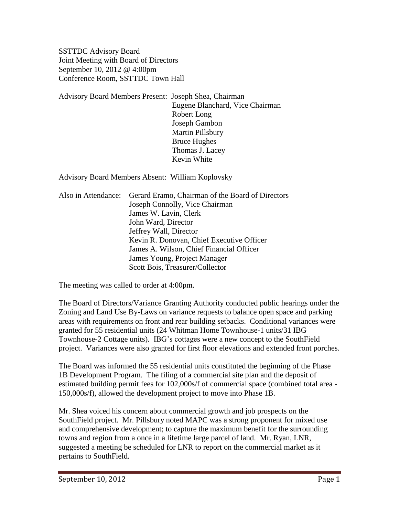SSTTDC Advisory Board Joint Meeting with Board of Directors September 10, 2012 @ 4:00pm Conference Room, SSTTDC Town Hall

Advisory Board Members Present: Joseph Shea, Chairman Eugene Blanchard, Vice Chairman Robert Long Joseph Gambon Martin Pillsbury Bruce Hughes Thomas J. Lacey Kevin White

Advisory Board Members Absent: William Koplovsky

|  | Also in Attendance: Gerard Eramo, Chairman of the Board of Directors |
|--|----------------------------------------------------------------------|
|  | Joseph Connolly, Vice Chairman                                       |
|  | James W. Lavin, Clerk                                                |
|  | John Ward, Director                                                  |
|  | Jeffrey Wall, Director                                               |
|  | Kevin R. Donovan, Chief Executive Officer                            |
|  | James A. Wilson, Chief Financial Officer                             |
|  | James Young, Project Manager                                         |
|  | Scott Bois, Treasurer/Collector                                      |

The meeting was called to order at 4:00pm.

The Board of Directors/Variance Granting Authority conducted public hearings under the Zoning and Land Use By-Laws on variance requests to balance open space and parking areas with requirements on front and rear building setbacks. Conditional variances were granted for 55 residential units (24 Whitman Home Townhouse-1 units/31 IBG Townhouse-2 Cottage units). IBG's cottages were a new concept to the SouthField project. Variances were also granted for first floor elevations and extended front porches.

The Board was informed the 55 residential units constituted the beginning of the Phase 1B Development Program. The filing of a commercial site plan and the deposit of estimated building permit fees for 102,000s/f of commercial space (combined total area - 150,000s/f), allowed the development project to move into Phase 1B.

Mr. Shea voiced his concern about commercial growth and job prospects on the SouthField project. Mr. Pillsbury noted MAPC was a strong proponent for mixed use and comprehensive development; to capture the maximum benefit for the surrounding towns and region from a once in a lifetime large parcel of land. Mr. Ryan, LNR, suggested a meeting be scheduled for LNR to report on the commercial market as it pertains to SouthField.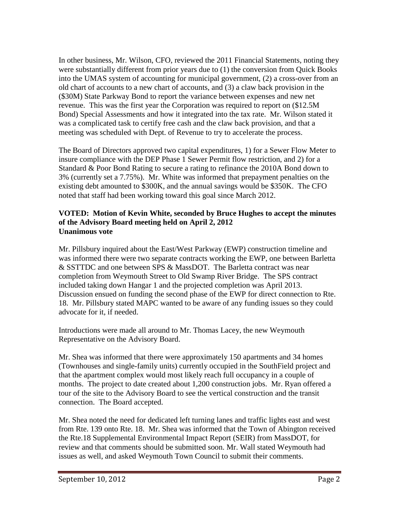In other business, Mr. Wilson, CFO, reviewed the 2011 Financial Statements, noting they were substantially different from prior years due to (1) the conversion from Quick Books into the UMAS system of accounting for municipal government, (2) a cross-over from an old chart of accounts to a new chart of accounts, and (3) a claw back provision in the (\$30M) State Parkway Bond to report the variance between expenses and new net revenue. This was the first year the Corporation was required to report on (\$12.5M Bond) Special Assessments and how it integrated into the tax rate. Mr. Wilson stated it was a complicated task to certify free cash and the claw back provision, and that a meeting was scheduled with Dept. of Revenue to try to accelerate the process.

The Board of Directors approved two capital expenditures, 1) for a Sewer Flow Meter to insure compliance with the DEP Phase 1 Sewer Permit flow restriction, and 2) for a Standard & Poor Bond Rating to secure a rating to refinance the 2010A Bond down to 3% (currently set a 7.75%). Mr. White was informed that prepayment penalties on the existing debt amounted to \$300K, and the annual savings would be \$350K. The CFO noted that staff had been working toward this goal since March 2012.

## **VOTED: Motion of Kevin White, seconded by Bruce Hughes to accept the minutes of the Advisory Board meeting held on April 2, 2012 Unanimous vote**

Mr. Pillsbury inquired about the East/West Parkway (EWP) construction timeline and was informed there were two separate contracts working the EWP, one between Barletta & SSTTDC and one between SPS & MassDOT. The Barletta contract was near completion from Weymouth Street to Old Swamp River Bridge. The SPS contract included taking down Hangar 1 and the projected completion was April 2013. Discussion ensued on funding the second phase of the EWP for direct connection to Rte. 18. Mr. Pillsbury stated MAPC wanted to be aware of any funding issues so they could advocate for it, if needed.

Introductions were made all around to Mr. Thomas Lacey, the new Weymouth Representative on the Advisory Board.

Mr. Shea was informed that there were approximately 150 apartments and 34 homes (Townhouses and single-family units) currently occupied in the SouthField project and that the apartment complex would most likely reach full occupancy in a couple of months. The project to date created about 1,200 construction jobs. Mr. Ryan offered a tour of the site to the Advisory Board to see the vertical construction and the transit connection. The Board accepted.

Mr. Shea noted the need for dedicated left turning lanes and traffic lights east and west from Rte. 139 onto Rte. 18. Mr. Shea was informed that the Town of Abington received the Rte.18 Supplemental Environmental Impact Report (SEIR) from MassDOT, for review and that comments should be submitted soon. Mr. Wall stated Weymouth had issues as well, and asked Weymouth Town Council to submit their comments.